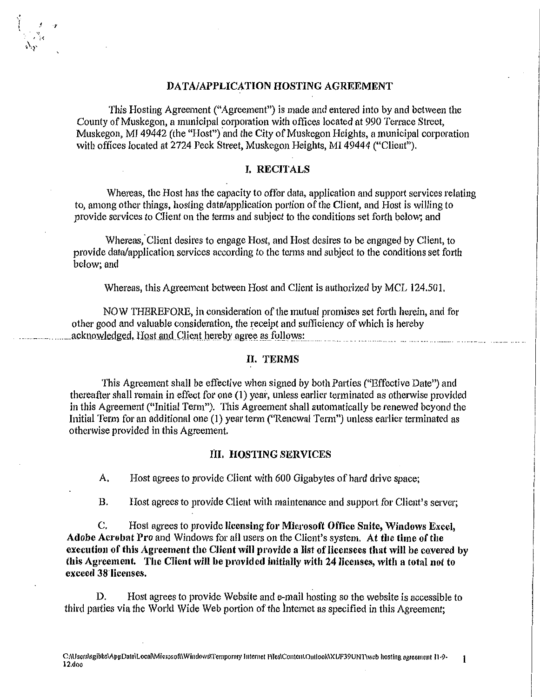# **DATA/APPLICATION HOSTING AGREEMENT**

'

This Hosting Agreement ("Agreement") is made and entered into by and between the County of Muskegon, a municipal corporation with offices located at 990 Terrace Street, Muskegon, MI 49442 (the "Host") and the City of Muskegon Heights, a municipal corporation with offices located at 2724 Peck Street, Muskegon Heights, MI 49444 ("Client").

# **I. RECITALS**

Whereas, the Host has the capacity to offer data, application and support services relating to, among other things, hosting data/application portion of the Client, and Host is willing to provide services to Client on the terms and subject to the conditions set forth below; and

Whereas, Client desires to engage Host, and Host desires to be engaged by Client, to provide data/application services according to the terms and subject to the conditions set forth below; and

Whereas, this Agreement between Host and Client is authorized by MCL 124.501.

NOW THEREFORE, in consideration of the mutual promises set forth herein, and for other good and valuable consideration, the receipt and sufficiency of which *is* hereby \_ acknowledged, Hos!;md Clie11Lhe1~eby !lgree !!~fl)!Joy.rs\_: .. . \_\_ . . . . .. .. ... ... . . . . ........ .

### **II. TERMS**

*This* Agreement shall be effective when signed by both Parties ("Effective Date") and thereafter shall remain in effect for one (1) year, unless earlier terminated as otherwise provided in this Agreement ("Initial Term"). This Agreement shall automatically be renewed beyond the Initial Term for an additional one (1) year term ("Renewal Term") unless earlier terminated as otherwise provided in this Agreement.

# **Ill. HOSTING SERVICES**

A. Host agrees to provide Client with 600 Gigabytes of hard drive space;

B. Host agrees to provide Client with maintenance and support for Client's server;

C. Host agrees to provide **licensing for Microsoft Office Suite, Windows Excel, Adobe Acrobat Pro** and Windows for all users on the Client's system. **At the time of the**  execution of this Agreement the Client will provide a list of licensees that will be covered by **this Agreement. The Client will be provided initially with 24 licenses, with a total not to exceed 38.1icenses.** 

D. Host agrees to provide Website and e-mail hosting so the website is accessible to third patties via the World Wide Web portion of the lnternet as specified in this Agreement;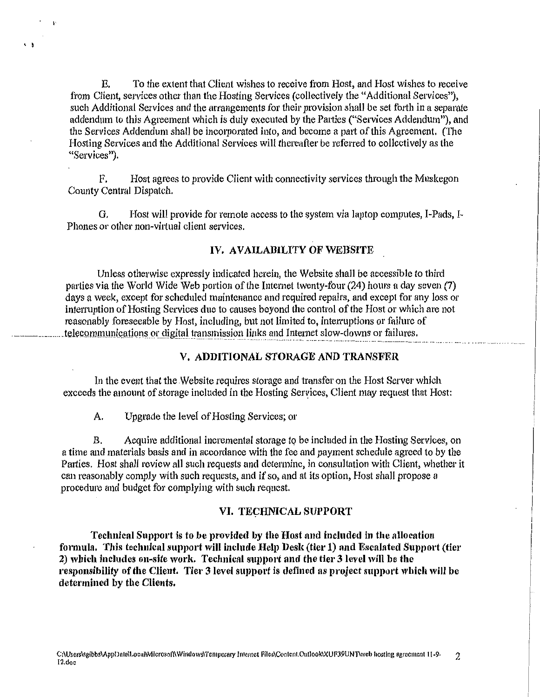E. To the extent that Client wishes to receive from Host, and Host wishes to receive from Client, services other than the Hosting Services (collectively the "Additional Services"), such Additional Services and the arrangements for their provision shall be set forth in a separate addendum to this Agreement which is duly executed by the Patties ("Services Addendum"), and the Services Addendum shall be incorporated into, and become a patt of this Agreement. (The Hosting Services and the Additional Services will thereafter be referred to collectively as the "Services").

F. Host agrees to provide Client with connectivity services through the Muskegon County Central Dispatch.

G. Host will provide for remote access to the system via laptop computes, I-Pads, !- Phones or other non-virtual client services.

# IV. AVAILABILITY OF WEBSITE

Unless otherwise expressly indicated herein, the Website shall be accessible to third parties via the World Wide Web portion of the Internet twenty-four (24) hours a day seven (7) days a week, except for scheduled maintenance and required repairs, and except for any loss or intermption of Hosting Services due to causes beyond the control of the Host or which are not reasonably foreseeable by Host, including, but not limited to, interruptions or failure of tele communications or digital transmission links and Internet slow-downs or failures.

# V. ADDITIONAL STORAGE AND TRANSFER

In the event that the Website requires storage and transfer on the Host Server which exceeds the amount of storage included in the Hosting Services, Client may request that Host:

A. Upgrade the level of Hosting Services; or

' l

B. Acquire additional incremental storage to be included in the Hosting Services, on a time and materials basis and in accordance with the fee and payment schedule agreed to by the Parties. Host shall review all such requests and determine, in consultation with Client, whether it can reasonably comply with such requests, and if so, and at its option, Host shall propose a procedure and budget for complying with such request.

### VI. TECHNICAL SUPPORT

Technical Support is to be provided by the Host and included in the allocation formula. This technical support will include Help Desk (tier 1) and Escalated Support (tier 2) which includes on-site work. Technical support and the tier 3 level will be the responsibility of the Client. Tier 3 level support is defined as project support which will be determined by the Clients.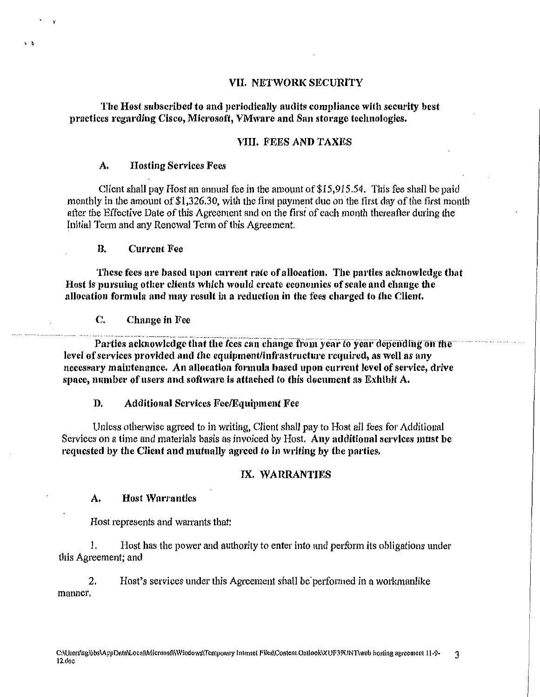# VII. NETWORK SECURITY

The Host subscribed to and periodically audits compliance with security best practices regarding Cisco, Microsoft, VMware and San storage technologies.

### VIII. FEES AND TAXES

#### **Hosting Services Fees** Α.

Client shall pay Host an annual fee in the amount of \$15,915.54. This fee shall be paid monthly in the amount of \$1,326.30, with the first payment due on the first day of the first month after the Effective Date of this Agreement and on the first of each month thereafter during the Initial Term and any Renewal Term of this Agreement.

**B. Current Fee** 

 $\mathbf{A}$ 

These fees are based upon current rate of allocation. The parties acknowledge that Host is pursuing other clients which would create economics of scale and change the allocation formula and may result in a reduction in the fees charged to the Client.

 $C_{\bullet}$ Change in Fee

Parties acknowledge that the fees can change from year to year depending on the level of services provided and the equipment/infrastructure required, as well as any necessary maintenance. An allocation formula based upon current level of service, drive space, number of users and software is attached to this document as Exhibit A.

#### D. **Additional Services Fee/Equipment Fee**

Unless otherwise agreed to in writing, Client shall pay to Host all fees for Additional Services on a time and materials basis as invoiced by Host. Any additional services must be requested by the Client and mutually agreed to in writing by the parties.

# IX. WARRANTIES

#### A. **Host Warranties**

Host represents and warrants that:

1. Host has the power and authority to enter into and perform its obligations under this Agreement; and

2. Host's services under this Agreement shall be performed in a workmanlike manner.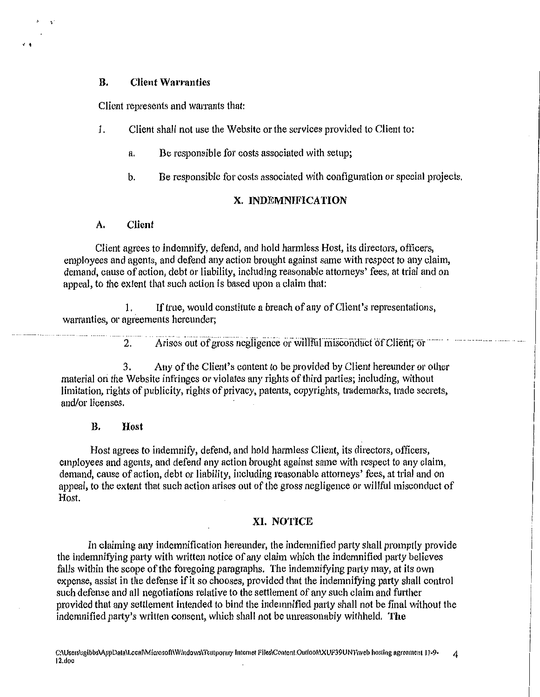# **B.** Client Warranties

Client represents and warrants that:

- 1. Client shall not use the Website or the services provided to Client to:
	- a. Be responsible for costs associated with setup;
	- b. Be responsible for costs associated with configuration or special projects.

# **X. INDEMNIFICATION**

# **A. Client**

 $'$   $\uparrow$ 

Client agrees to indemnify, defend, and hold harmless Host, its directors, officers, employees and agents, and defend any action brought against same with respect to any claim, demand, cause of action, debt or liability, including reasonable attorneys' fees, at trial and on appeal, to the extent that such action is based upon a claim that:

1. If true, would constitute a breach of any of Client's representations, warranties, or agreements hereunder;

> $2.$ Arises out of gross negligence or willful misconduct of Client; or

3. Any of the Client's content to be provided by Client hereunder ot' other material on the Website infringes or violates any rights of third parties; including, without limitation, rights of publicity, rights of privacy, patents, copyrights, trademarks, trade secrets, and/or licenses.

# **B. Host**

Host agrees to indemnify, defend, and hold harmless Client, its directors, officers, employees and agents, and defend any action brought against same with respect to any claim, demand, cause of action, debt or liability, including reasonable attorneys' fees, at trial and on appeal, to the extent that such action arises out of the gross negligence or willful misconduct of Host.

# **XI. NOTICE**

In claiming any indemnification hereunder, the indemnified party shall promptly provide the indemnifying party with written notice of any claim which the indemnified party believes falls within the scope of the foregoing paragraphs. The indemnifying party may, at its own expense, assist in the defense if it so chooses, provided that the indemnifying party shall control such defense and all negotiations relative to the settlement of any such claim and further provided that any settlement intended to bind the indemnified patty shall not be final without the indemnified party's written consent, which shall not be unreasonably withheld. The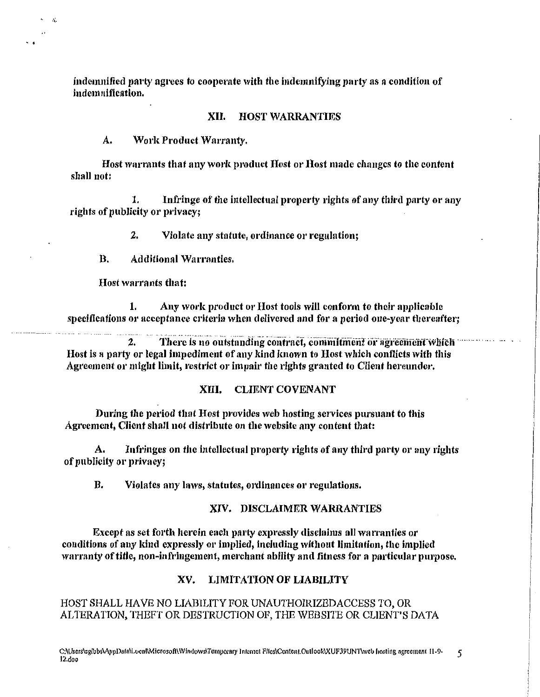indentified party agrees to cooperate with the indennifying party as a condition of indemnification.

### XII. **HOST WARRANTIES**

A. Work Product Warranty.

Host warrants that any work product Host or Host made changes to the content shall not:

1. Infringe of the intellectual property rights of any third party or any rights of publicity or privacy:

> $2.$ Violate any statute, ordinance or regulation:

 $\mathbf{B}$ . **Additional Warranties.** 

Host warrants that:

1. Any work product or Host tools will conform to their applicable specifications or acceptance criteria when delivered and for a period one-year thereafter:

There is no outstanding contract, commitment or agreement which 2. Host is a party or legal impediment of any kind known to Host which conflicts with this Agreement or might limit, restrict or impair the rights granted to Client hereunder.

#### XIII. **CLIENT COVENANT**

During the period that Host provides web hosting services pursuant to this Agreement, Client shall not distribute on the website any content that:

A. Infringes on the intellectual property rights of any third party or any rights of publicity or privacy;

**B.** Violates any laws, statutes, ordinances or regulations.

# XIV. DISCLAIMER WARRANTIES

Except as set forth herein each party expressly disclaims all warranties or conditions of any kind expressly or implied, including without limitation, the implied warranty of title, non-infringement, merchant ability and fitness for a particular purpose.

### XV. LIMITATION OF LIABILITY

HOST SHALL HAVE NO LIABILITY FOR UNAUTHOIRIZEDACCESS TO, OR ALTERATION, THEFT OR DESTRUCTION OF, THE WEBSITE OR CLIENT'S DATA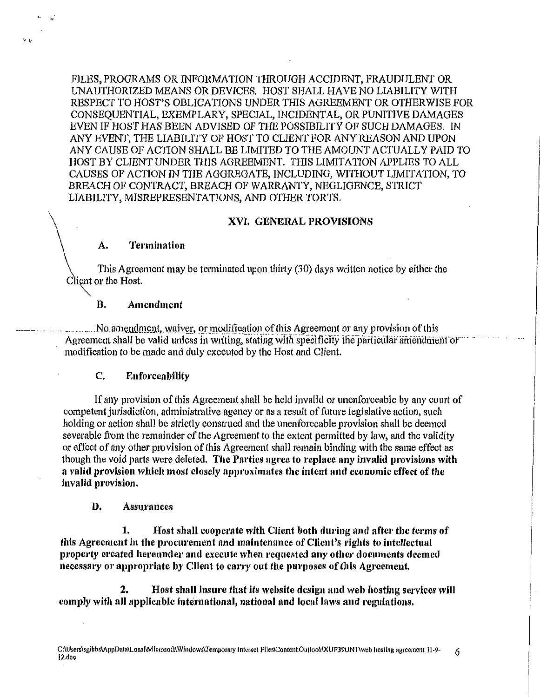FILES, PROGRAMS OR INFORMATION THROUGH ACCIDENT, FRAUDULENT OR UNAUTHORIZED MEANS OR DEVICES. HOST SHALL HAVE NO LIABILITY WITH RESPECT TO HOST'S OBLICATIONS UNDER THIS AGREEMENT OR OTHERWISE FOR CONSEQUENTIAL, EXEMPLARY, SPECIAL, INCIDENTAL, OR PUNITIVE DAMAGES EVEN IF HOST HAS BEEN ADVISED OF THE POSSIBILITY OF SUCH DAMAGES. IN ANY EVENT, THE LIABILITY OF HOST TO CLIENT FOR ANY REASON AND UPON ANY CAUSE OF ACTION SHALL BE LIMITED TO THE AMOUNT ACTUALLY PAID TO HOST BY CLIENT UNDER THIS AGREEMENT. THIS LIMITATION APPLIES TO ALL CAUSES OF ACTION IN THE AGGREGATE, INCLUDING, WITHOUT LIMITATION, TO BREACH OF CONTRACT, BREACH OF WARRANTY, NEGLIGENCE, STRICT LIABILITY, MISREPRESENTATIONS, AND OTHER TORTS.

# XVI. GENERAL PROVISIONS

#### Termination A.

This Agreement may be terminated upon thirty (30) days written notice by either the Client or the Host.

#### В. Amendment

No amendment, waiver, or modification of this Agreement or any provision of this Agreement shall be valid unless in writing, stating with specificity the particular amendment or modification to be made and duly executed by the Host and Client.

### C. Enforceability

If any provision of this Agreement shall be held invalid or unenforceable by any court of competent jurisdiction, administrative agency or as a result of future legislative action, such holding or action shall be strictly construed and the unenforceable provision shall be deemed severable from the remainder of the Agreement to the extent permitted by law, and the validity or effect of any other provision of this Agreement shall remain binding with the same effect as though the void parts were deleted. The Parties agree to replace any invalid provisions with a valid provision which most closely approximates the intent and economic effect of the invalid provision.

### D. **Assurances**

1. Host shall cooperate with Client both during and after the terms of this Agreement in the procurement and maintenance of Client's rights to intellectual property created hereunder and execute when requested any other documents deemed necessary or appropriate by Client to carry out the purposes of this Agreement.

Host shall insure that its website design and web hosting services will 2. comply with all applicable international, national and local laws and regulations.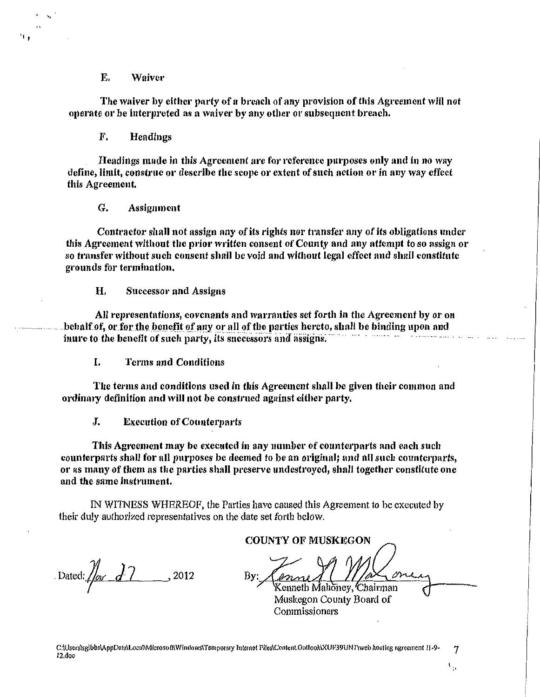### E. Waiver

-..

'ı,

The waiver by cither party of a breach of any provision of this Agreement will not operate or be interpreted as a waiver by any other or subsequent breach.

F. Headings

Headings made in this Agreement are for reference purposes only and in no way define, limit, construe or describe the scope or extent of such action or in any way effect this Agreement.

### G. Assignment

Contractor shall not assign any of its rights nor transfer any of its obligations under this Agreement without the prior written consent of County and any attempt to so assign or so transfer without such consent shall be void and without legal effect and shall constitute grounds for termination.

H. Successor and Assigns

All representations, covenants and warranties set forth in the Agreement by or on behalf of, or for the benefit of any or all of the parties hereto, shall be binding upon and inure to the benefit of such party, its successors and assigns.

I. Terms and Conditions

The terms and conditions used in this Agreement shall be given their common and ordinary definition and will not be construed against either party.

J. Execution of Counterparts

This Agreement may be executed in any number of counterparts and each such counterparts shall for all purposes be deemed to be an original; and all such counterparts, or as many of them as the parties shall preserve undestroyed, shall together constitute one and the same instrument.

IN WITNESS WHEREOF, the Parties have caused this Agreement to he executed by their duly authorized representatives on the date set forth below.

. Dated:  $\mathcal{V}_{\text{av}}$   $\mathcal{J}$  7 , 2012

COUNTY OF MUSKEGON enneth Mahoney, Chairman

Muskegon County Board of Commissioners

 $\mathbf{v}_{\mathrm{p}}$